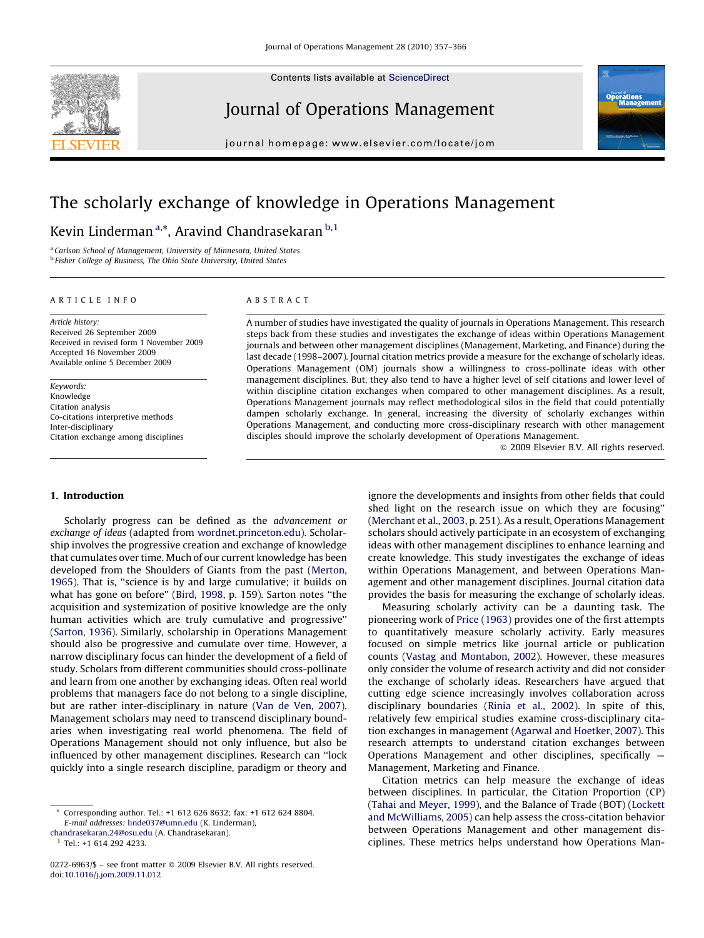#### Contents lists available at [ScienceDirect](http://www.sciencedirect.com/science/journal/02726963)

Journal of Operations Management



journal homepage: www.elsevier.com/locate/jom

## The scholarly exchange of knowledge in Operations Management

### Kevin Linderman<sup>a,\*</sup>, Aravind Chandrasekaran <sup>b,1</sup>

<sup>a</sup> Carlson School of Management, University of Minnesota, United States <sup>b</sup> Fisher College of Business, The Ohio State University, United States

#### ARTICLE INFO

Article history: Received 26 September 2009 Received in revised form 1 November 2009 Accepted 16 November 2009 Available online 5 December 2009

Keywords: Knowledge Citation analysis Co-citations interpretive methods Inter-disciplinary Citation exchange among disciplines

#### 1. Introduction

Scholarly progress can be defined as the advancement or exchange of ideas (adapted from [wordnet.princeton.edu](http://wordnet.princeton.edu/)). Scholarship involves the progressive creation and exchange of knowledge that cumulates over time. Much of our current knowledge has been developed from the Shoulders of Giants from the past ([Merton,](#page--1-0) [1965\)](#page--1-0). That is, "science is by and large cumulative; it builds on what has gone on before'' ([Bird, 1998,](#page--1-0) p. 159). Sarton notes ''the acquisition and systemization of positive knowledge are the only human activities which are truly cumulative and progressive'' ([Sarton, 1936\)](#page--1-0). Similarly, scholarship in Operations Management should also be progressive and cumulate over time. However, a narrow disciplinary focus can hinder the development of a field of study. Scholars from different communities should cross-pollinate and learn from one another by exchanging ideas. Often real world problems that managers face do not belong to a single discipline, but are rather inter-disciplinary in nature ([Van de Ven, 2007\)](#page--1-0). Management scholars may need to transcend disciplinary boundaries when investigating real world phenomena. The field of Operations Management should not only influence, but also be influenced by other management disciplines. Research can ''lock quickly into a single research discipline, paradigm or theory and

#### ABSTRACT

A number of studies have investigated the quality of journals in Operations Management. This research steps back from these studies and investigates the exchange of ideas within Operations Management journals and between other management disciplines (Management, Marketing, and Finance) during the last decade (1998–2007). Journal citation metrics provide a measure for the exchange of scholarly ideas. Operations Management (OM) journals show a willingness to cross-pollinate ideas with other management disciplines. But, they also tend to have a higher level of self citations and lower level of within discipline citation exchanges when compared to other management disciplines. As a result, Operations Management journals may reflect methodological silos in the field that could potentially dampen scholarly exchange. In general, increasing the diversity of scholarly exchanges within Operations Management, and conducting more cross-disciplinary research with other management disciples should improve the scholarly development of Operations Management.

 $\odot$  2009 Elsevier B.V. All rights reserved.

ignore the developments and insights from other fields that could shed light on the research issue on which they are focusing'' ([Merchant et al., 2003,](#page--1-0) p. 251). As a result, Operations Management scholars should actively participate in an ecosystem of exchanging ideas with other management disciplines to enhance learning and create knowledge. This study investigates the exchange of ideas within Operations Management, and between Operations Management and other management disciplines. Journal citation data provides the basis for measuring the exchange of scholarly ideas.

Measuring scholarly activity can be a daunting task. The pioneering work of [Price \(1963\)](#page--1-0) provides one of the first attempts to quantitatively measure scholarly activity. Early measures focused on simple metrics like journal article or publication counts ([Vastag and Montabon, 2002\)](#page--1-0). However, these measures only consider the volume of research activity and did not consider the exchange of scholarly ideas. Researchers have argued that cutting edge science increasingly involves collaboration across disciplinary boundaries ([Rinia et al., 2002\)](#page--1-0). In spite of this, relatively few empirical studies examine cross-disciplinary citation exchanges in management ([Agarwal and Hoetker, 2007\)](#page--1-0). This research attempts to understand citation exchanges between Operations Management and other disciplines, specifically — Management, Marketing and Finance.

Citation metrics can help measure the exchange of ideas between disciplines. In particular, the Citation Proportion (CP) ([Tahai and Meyer, 1999\)](#page--1-0), and the Balance of Trade (BOT) ([Lockett](#page--1-0) [and McWilliams, 2005\)](#page--1-0) can help assess the cross-citation behavior between Operations Management and other management disciplines. These metrics helps understand how Operations Man-

Corresponding author. Tel.: +1 612 626 8632; fax: +1 612 624 8804. E-mail addresses: [linde037@umn.edu](mailto:linde037@umn.edu) (K. Linderman),

[chandrasekaran.24@osu.edu](mailto:chandrasekaran.24@osu.edu) (A. Chandrasekaran).

Tel.: +1 614 292 4233.

<sup>0272-6963/\$ –</sup> see front matter © 2009 Elsevier B.V. All rights reserved. doi:[10.1016/j.jom.2009.11.012](http://dx.doi.org/10.1016/j.jom.2009.11.012)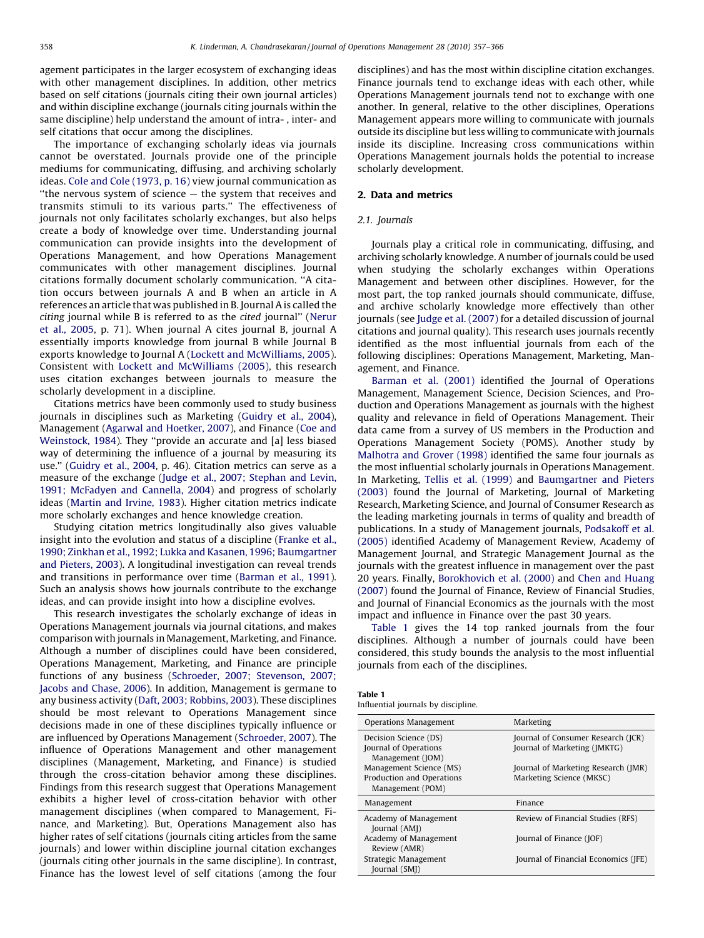agement participates in the larger ecosystem of exchanging ideas with other management disciplines. In addition, other metrics based on self citations (journals citing their own journal articles) and within discipline exchange (journals citing journals within the same discipline) help understand the amount of intra- , inter- and self citations that occur among the disciplines.

The importance of exchanging scholarly ideas via journals cannot be overstated. Journals provide one of the principle mediums for communicating, diffusing, and archiving scholarly ideas. [Cole and Cole \(1973, p. 16\)](#page--1-0) view journal communication as ''the nervous system of science — the system that receives and transmits stimuli to its various parts.'' The effectiveness of journals not only facilitates scholarly exchanges, but also helps create a body of knowledge over time. Understanding journal communication can provide insights into the development of Operations Management, and how Operations Management communicates with other management disciplines. Journal citations formally document scholarly communication. ''A citation occurs between journals A and B when an article in A references an article that was published in B. Journal A is called the citing journal while B is referred to as the cited journal'' [\(Nerur](#page--1-0) [et al., 2005](#page--1-0), p. 71). When journal A cites journal B, journal A essentially imports knowledge from journal B while Journal B exports knowledge to Journal A [\(Lockett and McWilliams, 2005\)](#page--1-0). Consistent with [Lockett and McWilliams \(2005\),](#page--1-0) this research uses citation exchanges between journals to measure the scholarly development in a discipline.

Citations metrics have been commonly used to study business journals in disciplines such as Marketing ([Guidry et al., 2004\)](#page--1-0), Management ([Agarwal and Hoetker, 2007\)](#page--1-0), and Finance ([Coe and](#page--1-0) [Weinstock, 1984](#page--1-0)). They ''provide an accurate and [a] less biased way of determining the influence of a journal by measuring its use.'' ([Guidry et al., 2004,](#page--1-0) p. 46). Citation metrics can serve as a measure of the exchange [\(Judge et al., 2007; Stephan and Levin,](#page--1-0) [1991; McFadyen and Cannella, 2004](#page--1-0)) and progress of scholarly ideas ([Martin and Irvine, 1983\)](#page--1-0). Higher citation metrics indicate more scholarly exchanges and hence knowledge creation.

Studying citation metrics longitudinally also gives valuable insight into the evolution and status of a discipline ([Franke et al.,](#page--1-0) [1990; Zinkhan et al., 1992; Lukka and Kasanen, 1996; Baumgartner](#page--1-0) [and Pieters, 2003\)](#page--1-0). A longitudinal investigation can reveal trends and transitions in performance over time ([Barman et al., 1991\)](#page--1-0). Such an analysis shows how journals contribute to the exchange ideas, and can provide insight into how a discipline evolves.

This research investigates the scholarly exchange of ideas in Operations Management journals via journal citations, and makes comparison with journals in Management, Marketing, and Finance. Although a number of disciplines could have been considered, Operations Management, Marketing, and Finance are principle functions of any business ([Schroeder, 2007; Stevenson, 2007;](#page--1-0) [Jacobs and Chase, 2006\)](#page--1-0). In addition, Management is germane to any business activity [\(Daft, 2003; Robbins, 2003\)](#page--1-0). These disciplines should be most relevant to Operations Management since decisions made in one of these disciplines typically influence or are influenced by Operations Management ([Schroeder, 2007](#page--1-0)). The influence of Operations Management and other management disciplines (Management, Marketing, and Finance) is studied through the cross-citation behavior among these disciplines. Findings from this research suggest that Operations Management exhibits a higher level of cross-citation behavior with other management disciplines (when compared to Management, Finance, and Marketing). But, Operations Management also has higher rates of self citations (journals citing articles from the same journals) and lower within discipline journal citation exchanges (journals citing other journals in the same discipline). In contrast, Finance has the lowest level of self citations (among the four disciplines) and has the most within discipline citation exchanges. Finance journals tend to exchange ideas with each other, while Operations Management journals tend not to exchange with one another. In general, relative to the other disciplines, Operations Management appears more willing to communicate with journals outside its discipline but less willing to communicate with journals inside its discipline. Increasing cross communications within Operations Management journals holds the potential to increase scholarly development.

#### 2. Data and metrics

#### 2.1. Journals

Journals play a critical role in communicating, diffusing, and archiving scholarly knowledge. A number of journals could be used when studying the scholarly exchanges within Operations Management and between other disciplines. However, for the most part, the top ranked journals should communicate, diffuse, and archive scholarly knowledge more effectively than other journals (see [Judge et al. \(2007\)](#page--1-0) for a detailed discussion of journal citations and journal quality). This research uses journals recently identified as the most influential journals from each of the following disciplines: Operations Management, Marketing, Management, and Finance.

[Barman et al. \(2001\)](#page--1-0) identified the Journal of Operations Management, Management Science, Decision Sciences, and Production and Operations Management as journals with the highest quality and relevance in field of Operations Management. Their data came from a survey of US members in the Production and Operations Management Society (POMS). Another study by [Malhotra and Grover \(1998\)](#page--1-0) identified the same four journals as the most influential scholarly journals in Operations Management. In Marketing, [Tellis et al. \(1999\)](#page--1-0) and [Baumgartner and Pieters](#page--1-0) [\(2003\)](#page--1-0) found the Journal of Marketing, Journal of Marketing Research, Marketing Science, and Journal of Consumer Research as the leading marketing journals in terms of quality and breadth of publications. In a study of Management journals, [Podsakoff et al.](#page--1-0) [\(2005\)](#page--1-0) identified Academy of Management Review, Academy of Management Journal, and Strategic Management Journal as the journals with the greatest influence in management over the past 20 years. Finally, [Borokhovich et al. \(2000\)](#page--1-0) and [Chen and Huang](#page--1-0) [\(2007\)](#page--1-0) found the Journal of Finance, Review of Financial Studies, and Journal of Financial Economics as the journals with the most impact and influence in Finance over the past 30 years.

Table 1 gives the 14 top ranked journals from the four disciplines. Although a number of journals could have been considered, this study bounds the analysis to the most influential journals from each of the disciplines.

| Table |  |
|-------|--|
|-------|--|

Influential journals by discipline.

| Operations Management     | Marketing                            |
|---------------------------|--------------------------------------|
| Decision Science (DS)     | Journal of Consumer Research (JCR)   |
| Journal of Operations     | Journal of Marketing (JMKTG)         |
| Management (JOM)          |                                      |
| Management Science (MS)   | Journal of Marketing Research (JMR)  |
| Production and Operations | Marketing Science (MKSC)             |
| Management (POM)          |                                      |
| Management                | Finance                              |
| Academy of Management     | Review of Financial Studies (RFS)    |
| Journal (AMJ)             |                                      |
| Academy of Management     | Journal of Finance (JOF)             |
| Review (AMR)              |                                      |
| Strategic Management      | Journal of Financial Economics (JFE) |
| [ournal (SMJ)             |                                      |